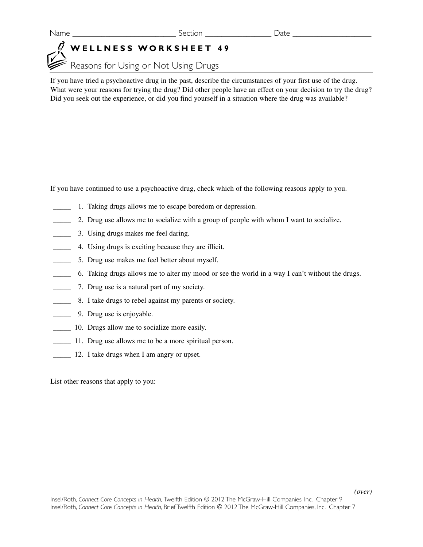## **WELLNESS WORKSHEET 49**

Reasons for Using or Not Using Drugs

If you have tried a psychoactive drug in the past, describe the circumstances of your first use of the drug. What were your reasons for trying the drug? Did other people have an effect on your decision to try the drug? Did you seek out the experience, or did you find yourself in a situation where the drug was available?

If you have continued to use a psychoactive drug, check which of the following reasons apply to you.

- \_\_\_\_\_ 1. Taking drugs allows me to escape boredom or depression.
- \_\_\_\_\_ 2. Drug use allows me to socialize with a group of people with whom I want to socialize.
- \_\_\_\_\_ 3. Using drugs makes me feel daring.
- \_\_\_\_\_ 4. Using drugs is exciting because they are illicit.
- \_\_\_\_\_ 5. Drug use makes me feel better about myself.
- \_\_\_\_\_ 6. Taking drugs allows me to alter my mood or see the world in a way I can't without the drugs.
- \_\_\_\_\_ 7. Drug use is a natural part of my society.
- 8. I take drugs to rebel against my parents or society.
- **2008** 9. Drug use is enjoyable.
- 10. Drugs allow me to socialize more easily.
- \_\_\_\_\_ 11. Drug use allows me to be a more spiritual person.
- \_\_\_\_\_ 12. I take drugs when I am angry or upset.

List other reasons that apply to you:

*(over)*